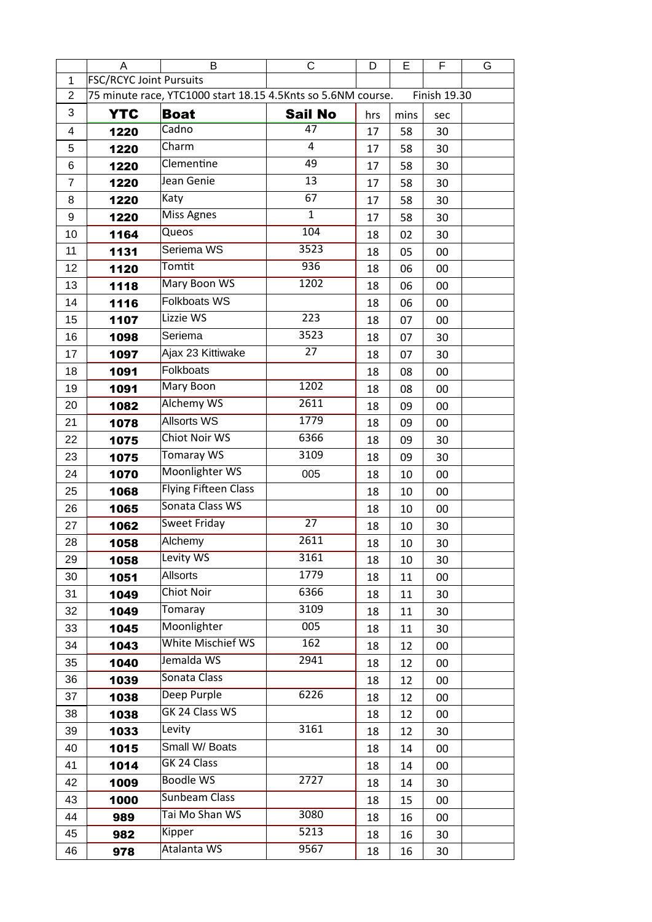|                  | A                                                                            | B                           | С               | D   | Е    | F   | G |
|------------------|------------------------------------------------------------------------------|-----------------------------|-----------------|-----|------|-----|---|
| 1                | <b>FSC/RCYC Joint Pursuits</b>                                               |                             |                 |     |      |     |   |
| $\overline{2}$   | 75 minute race, YTC1000 start 18.15 4.5Knts so 5.6NM course.<br>Finish 19.30 |                             |                 |     |      |     |   |
| 3                | <b>YTC</b>                                                                   | <b>Boat</b>                 | <b>Sail No</b>  | hrs | mins | sec |   |
| 4                | 1220                                                                         | Cadno                       | 47              | 17  | 58   | 30  |   |
| 5                | 1220                                                                         | Charm                       | 4               | 17  | 58   | 30  |   |
| 6                | 1220                                                                         | Clementine                  | 49              | 17  | 58   | 30  |   |
| $\overline{7}$   | 1220                                                                         | Jean Genie                  | 13              | 17  | 58   | 30  |   |
| 8                | 1220                                                                         | Katy                        | 67              | 17  | 58   | 30  |   |
| $\boldsymbol{9}$ | 1220                                                                         | Miss Agnes                  | $\mathbf{1}$    | 17  | 58   | 30  |   |
| 10               | 1164                                                                         | Queos                       | 104             | 18  | 02   | 30  |   |
| 11               | 1131                                                                         | Seriema WS                  | 3523            | 18  | 05   | 00  |   |
| 12               | 1120                                                                         | Tomtit                      | 936             | 18  | 06   | 00  |   |
| 13               | 1118                                                                         | Mary Boon WS                | 1202            | 18  | 06   | 00  |   |
| 14               | 1116                                                                         | <b>Folkboats WS</b>         |                 | 18  | 06   | 00  |   |
| 15               | 1107                                                                         | Lizzie WS                   | 223             | 18  | 07   | 00  |   |
| 16               | 1098                                                                         | Seriema                     | 3523            | 18  | 07   | 30  |   |
| 17               | 1097                                                                         | Ajax 23 Kittiwake           | 27              | 18  | 07   | 30  |   |
| 18               | 1091                                                                         | <b>Folkboats</b>            |                 | 18  | 08   | 00  |   |
| 19               | 1091                                                                         | Mary Boon                   | 1202            | 18  | 08   | 00  |   |
| 20               | 1082                                                                         | <b>Alchemy WS</b>           | 2611            | 18  | 09   | 00  |   |
| 21               | 1078                                                                         | <b>Allsorts WS</b>          | 1779            | 18  | 09   | 00  |   |
| 22               | 1075                                                                         | <b>Chiot Noir WS</b>        | 6366            | 18  | 09   | 30  |   |
| 23               | 1075                                                                         | <b>Tomaray WS</b>           | 3109            | 18  | 09   | 30  |   |
| 24               | 1070                                                                         | Moonlighter WS              | 005             | 18  | 10   | 00  |   |
| 25               | 1068                                                                         | <b>Flying Fifteen Class</b> |                 | 18  | 10   | 00  |   |
| 26               | 1065                                                                         | Sonata Class WS             |                 | 18  | 10   | 00  |   |
| 27               | 1062                                                                         | <b>Sweet Friday</b>         | $\overline{27}$ | 18  | 10   | 30  |   |
| 28               | 1058                                                                         | Alchemy                     | 2611            | 18  | 10   | 30  |   |
| 29               | 1058                                                                         | Levity WS                   | 3161            | 18  | 10   | 30  |   |
| 30               | 1051                                                                         | <b>Allsorts</b>             | 1779            | 18  | 11   | 00  |   |
| 31               | 1049                                                                         | <b>Chiot Noir</b>           | 6366            | 18  | 11   | 30  |   |
| 32               | 1049                                                                         | Tomaray                     | 3109            | 18  | 11   | 30  |   |
| 33               | 1045                                                                         | Moonlighter                 | 005             | 18  | 11   | 30  |   |
| 34               | 1043                                                                         | <b>White Mischief WS</b>    | 162             | 18  | 12   | 00  |   |
| 35               | 1040                                                                         | Jemalda WS                  | 2941            | 18  | 12   | 00  |   |
| 36               | 1039                                                                         | Sonata Class                |                 | 18  | 12   | 00  |   |
| 37               | 1038                                                                         | Deep Purple                 | 6226            | 18  | 12   | 00  |   |
| 38               | 1038                                                                         | GK 24 Class WS              |                 | 18  | 12   | 00  |   |
| 39               | 1033                                                                         | Levity                      | 3161            | 18  | 12   | 30  |   |
| 40               | 1015                                                                         | Small W/ Boats              |                 | 18  | 14   | 00  |   |
| 41               | 1014                                                                         | GK 24 Class                 |                 | 18  | 14   | 00  |   |
| 42               | 1009                                                                         | <b>Boodle WS</b>            | 2727            | 18  | 14   | 30  |   |
| 43               | 1000                                                                         | <b>Sunbeam Class</b>        |                 | 18  | 15   | 00  |   |
| 44               | 989                                                                          | Tai Mo Shan WS              | 3080            | 18  | 16   | 00  |   |
| 45               | 982                                                                          | Kipper                      | 5213            | 18  | 16   | 30  |   |
| 46               | 978                                                                          | Atalanta WS                 | 9567            | 18  | 16   | 30  |   |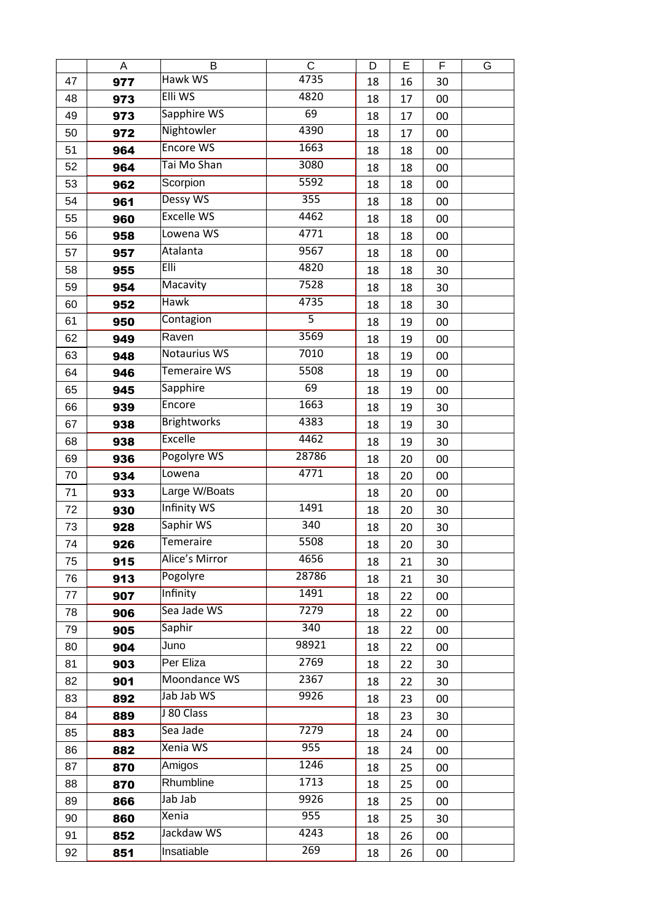|    | A   | B                   | C              | D  | E  | F  | G |
|----|-----|---------------------|----------------|----|----|----|---|
| 47 | 977 | Hawk WS             | 4735           | 18 | 16 | 30 |   |
| 48 | 973 | Elli WS             | 4820           | 18 | 17 | 00 |   |
| 49 | 973 | Sapphire WS         | 69             | 18 | 17 | 00 |   |
| 50 | 972 | Nightowler          | 4390           | 18 | 17 | 00 |   |
| 51 | 964 | <b>Encore WS</b>    | 1663           | 18 | 18 | 00 |   |
| 52 | 964 | Tai Mo Shan         | 3080           | 18 | 18 | 00 |   |
| 53 | 962 | Scorpion            | 5592           | 18 | 18 | 00 |   |
| 54 | 961 | Dessy WS            | 355            | 18 | 18 | 00 |   |
| 55 | 960 | <b>Excelle WS</b>   | 4462           | 18 | 18 | 00 |   |
| 56 | 958 | Lowena WS           | 4771           | 18 | 18 | 00 |   |
| 57 | 957 | Atalanta            | 9567           | 18 | 18 | 00 |   |
| 58 | 955 | Elli                | 4820           | 18 | 18 | 30 |   |
| 59 | 954 | Macavity            | 7528           | 18 | 18 | 30 |   |
| 60 | 952 | <b>Hawk</b>         | 4735           | 18 | 18 | 30 |   |
| 61 | 950 | Contagion           | $\overline{5}$ | 18 | 19 | 00 |   |
| 62 | 949 | Raven               | 3569           | 18 | 19 | 00 |   |
| 63 | 948 | Notaurius WS        | 7010           | 18 | 19 | 00 |   |
| 64 | 946 | <b>Temeraire WS</b> | 5508           | 18 | 19 | 00 |   |
| 65 | 945 | Sapphire            | 69             | 18 | 19 | 00 |   |
| 66 | 939 | Encore              | 1663           | 18 | 19 | 30 |   |
| 67 | 938 | <b>Brightworks</b>  | 4383           | 18 | 19 | 30 |   |
| 68 | 938 | <b>Excelle</b>      | 4462           | 18 | 19 | 30 |   |
| 69 | 936 | Pogolyre WS         | 28786          | 18 | 20 | 00 |   |
| 70 | 934 | Lowena              | 4771           | 18 | 20 | 00 |   |
| 71 | 933 | Large W/Boats       |                | 18 | 20 | 00 |   |
| 72 | 930 | <b>Infinity WS</b>  | 1491           | 18 | 20 | 30 |   |
| 73 | 928 | Saphir WS           | 340            | 18 | 20 | 30 |   |
| 74 | 926 | Temeraire           | 5508           | 18 | 20 | 30 |   |
| 75 | 915 | Alice's Mirror      | 4656           | 18 | 21 | 30 |   |
| 76 | 913 | Pogolyre            | 28786          | 18 | 21 | 30 |   |
| 77 | 907 | Infinity            | 1491           | 18 | 22 | 00 |   |
| 78 | 906 | Sea Jade WS         | 7279           | 18 | 22 | 00 |   |
| 79 | 905 | Saphir              | 340            | 18 | 22 | 00 |   |
| 80 | 904 | Juno                | 98921          | 18 | 22 | 00 |   |
| 81 | 903 | Per Eliza           | 2769           | 18 | 22 | 30 |   |
| 82 | 901 | Moondance WS        | 2367           | 18 | 22 | 30 |   |
| 83 | 892 | Jab Jab WS          | 9926           | 18 | 23 | 00 |   |
| 84 | 889 | J 80 Class          |                | 18 | 23 | 30 |   |
| 85 | 883 | Sea Jade            | 7279           | 18 | 24 | 00 |   |
| 86 | 882 | Xenia WS            | 955            | 18 | 24 | 00 |   |
| 87 | 870 | Amigos              | 1246           | 18 | 25 | 00 |   |
| 88 | 870 | Rhumbline           | 1713           | 18 | 25 | 00 |   |
| 89 | 866 | Jab Jab             | 9926           | 18 | 25 | 00 |   |
| 90 | 860 | Xenia               | 955            | 18 | 25 | 30 |   |
| 91 | 852 | Jackdaw WS          | 4243           | 18 | 26 | 00 |   |
| 92 | 851 | Insatiable          | 269            | 18 | 26 | 00 |   |